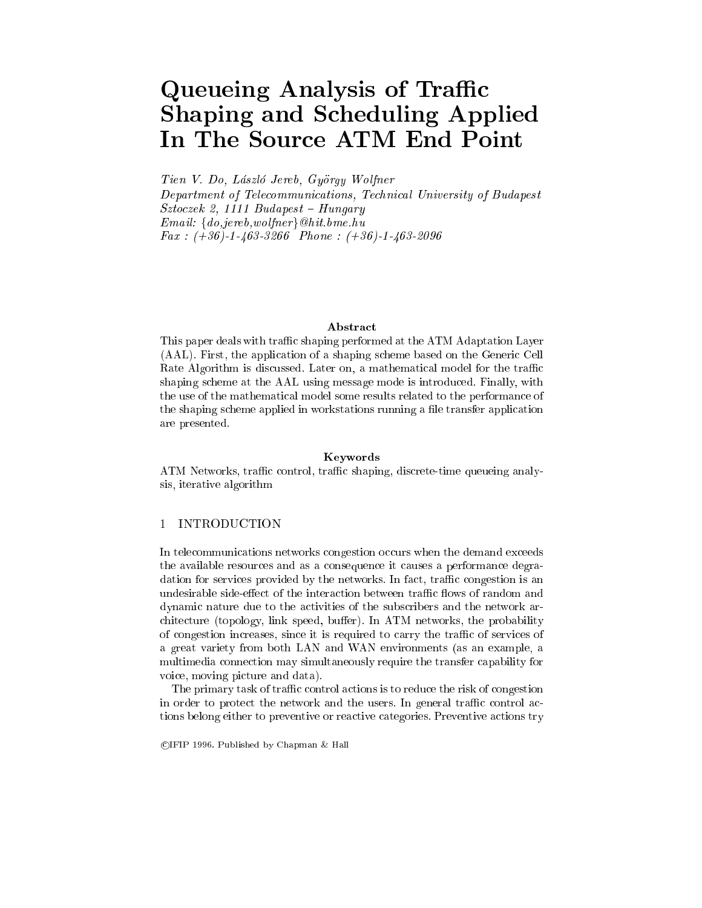# Queueing Analysis of Traffic Shaping and Scheduling Applied In The Source ATM End Point

Tien V. Do, Laszlo Jereb, Gyorgy Wolfner

Department of Telecommunications, Technical University of Budapest Sztoczek 2, <sup>1111</sup> Budapest { Hungary Email: fdo,jereb,wolfnerg@hit.bme.hu Fax : (+36)-1-463-3266 Phone : (+36)-1-463-2096

This paper deals with traffic shaping performed at the ATM Adaptation Layer (AAL). First, the application of a shaping scheme based on the Generic Cell Rate Algorithm is discussed. Later on, a mathematical model for the traffic shaping scheme at the AAL using message mode is introduced. Finally, with the use of the mathematical model some results related to the performance of the shaping scheme applied in workstations running a file transfer application are presented.

#### Keywords

ATM Networks, traffic control, traffic shaping, discrete-time queueing analysis, iterative algorithm

## 1 INTRODUCTION

In telecommunications networks congestion occurs when the demand exceeds the available resources and as a consequence it causes a performance degradation for services provided by the networks. In fact, traffic congestion is an undesirable side-effect of the interaction between traffic flows of random and dynamic nature due to the activities of the subscribers and the network architecture (topology, link speed, buffer). In ATM networks, the probability of congestion increases, since it is required to carry the traffic of services of a great variety from both LAN and WAN environments (as an example, a multimedia connection may simultaneously require the transfer capability for voice, moving picture and data).

The primary task of traffic control actions is to reduce the risk of congestion in order to protect the network and the users. In general traffic control actions belong either to preventive or reactive categories. Preventive actions try

<sup>c</sup> IFIP 1996. Published by Chapman & Hall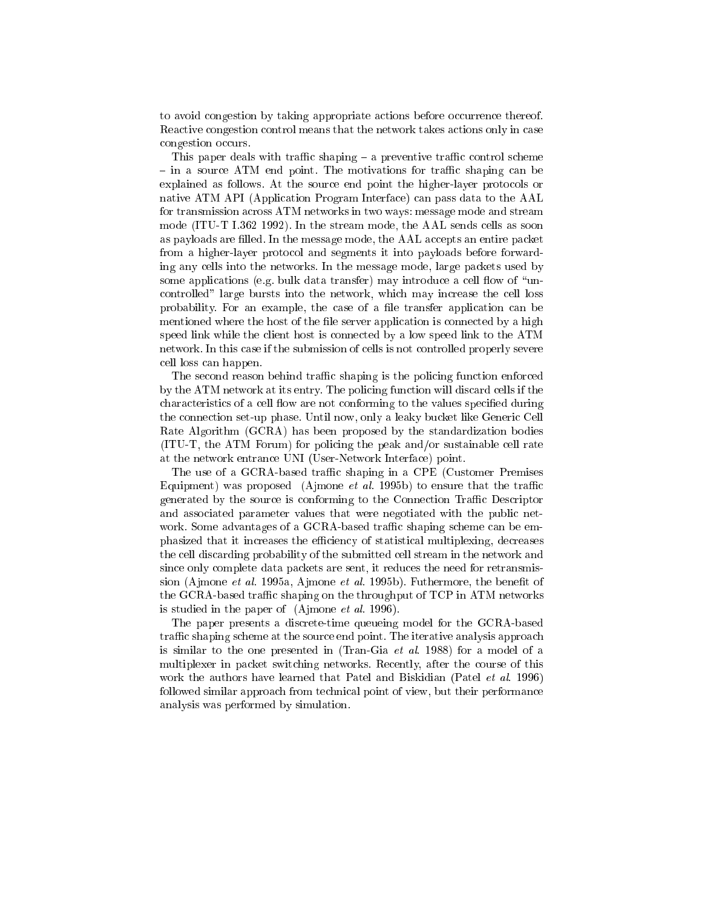to avoid congestion by taking appropriate actions before occurrence thereof. Reactive congestion control means that the network takes actions only in case congestion occurs.

This paper deals with traffic shaping  $-$  a preventive traffic control scheme - in a source ATM end point. The motivations for traffic shaping can be explained as follows. At the source end point the higher-layer protocols or native ATM API (Application Program Interface) can pass data to the AAL for transmission across ATM networks in two ways: message mode and stream mode (ITU-T I.362 1992). In the stream mode, the AAL sends cells as soon as payloads are filled. In the message mode, the AAL accepts an entire packet from a higher-layer protocol and segments it into payloads before forwarding any cells into the networks. In the message mode, large packets used by some applications (e.g. bulk data transfer) may introduce a cell flow of "uncontrolled" large bursts into the network, which may increase the cell loss probability. For an example, the case of a file transfer application can be mentioned where the host of the file server application is connected by a high speed link while the client host is connected by a low speed link to the ATM network. In this case if the submission of cells is not controlled properly severe cell loss can happen.

The second reason behind traffic shaping is the policing function enforced by the ATM network at its entry. The policing function will discard cells if the characteristics of a cell flow are not conforming to the values specified during the connection set-up phase. Until now, only a leaky bucket like Generic Cell Rate Algorithm (GCRA) has been proposed by the standardization bodies (ITU-T, the ATM Forum) for policing the peak and/or sustainable cell rate at the network entrance UNI (User-Network Interface) point.

The use of a GCRA-based traffic shaping in a CPE (Customer Premises Equipment) was proposed (Ajmone *et al.* 1995b) to ensure that the traffic generated by the source is conforming to the Connection Traffic Descriptor and associated parameter values that were negotiated with the public network. Some advantages of a GCRA-based traffic shaping scheme can be emphasized that it increases the efficiency of statistical multiplexing, decreases the cell discarding probability of the submitted cell stream in the network and since only complete data packets are sent, it reduces the need for retransmission (Ajmone *et al.* 1995a, Ajmone *et al.* 1995b). Futhermore, the benefit of the GCRA-based traffic shaping on the throughput of TCP in ATM networks is studied in the paper of (Ajmone et al. 1996).

The paper presents a discrete-time queueing model for the GCRA-based traffic shaping scheme at the source end point. The iterative analysis approach is similar to the one presented in (Tran-Gia et al. 1988) for a model of a multiplexer in packet switching networks. Recently, after the course of this work the authors have learned that Patel and Biskidian (Patel *et al.* 1996) followed similar approach from technical point of view, but their performance analysis was performed by simulation.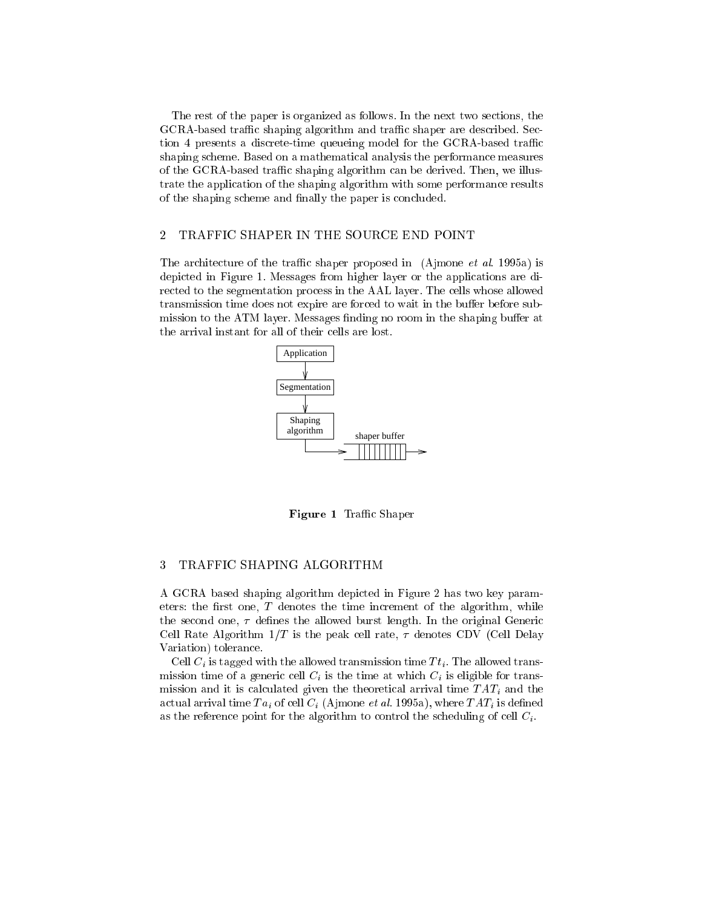The rest of the paper is organized as follows. In the next two sections, the GCRA-based traffic shaping algorithm and traffic shaper are described. Section 4 presents a discrete-time queueing model for the GCRA-based traffic shaping scheme. Based on a mathematical analysis the performance measures of the GCRA-based traffic shaping algorithm can be derived. Then, we illustrate the application of the shaping algorithm with some performance results of the shaping scheme and finally the paper is concluded.

#### 2 TRAFFIC SHAPER IN THE SOURCE END POINT

The architecture of the traffic shaper proposed in (Ajmone *et al.* 1995a) is depicted in Figure 1. Messages from higher layer or the applications are directed to the segmentation process in the AAL layer. The cells whose allowed transmission time does not expire are forced to wait in the buffer before submission to the ATM layer. Messages finding no room in the shaping buffer at the arrival instant for all of their cells are lost.



Figure 1 Traffic Shaper

#### 3 TRAFFIC SHAPING ALGORITHM

A GCRA based shaping algorithm depicted in Figure 2 has two key parameters: the first one,  $T$  denotes the time increment of the algorithm, while the second one,  $\tau$  defines the allowed burst length. In the original Generic Cell Rate Algorithm  $1/T$  is the peak cell rate,  $\tau$  denotes CDV (Cell Delay Variation) tolerance.

Cell  $C_i$  is tagged with the allowed transmission time  $T t_i$ . The allowed transmission time of a generic cell  $C_i$  is the time at which  $C_i$  is eligible for transmission and it is calculated given the theoretical arrival time  $TAT_i$  and the actual arrival time  $Ta_i$  of cell  $C_i$  (Ajmone et al. 1995a), where  $TAT_i$  is defined as the reference point for the algorithm to control the scheduling of cell  $C_i$ .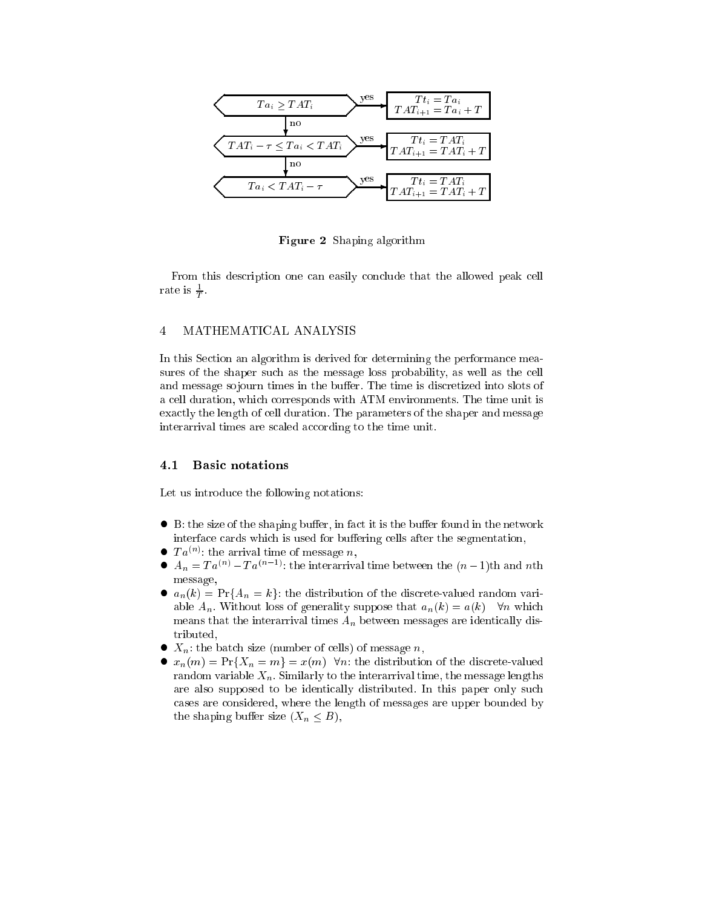

Figure 2 Shaping algorithm

From this description one can easily conclude that the allowed peak cell rate is  $\overline{T}$ .

# 4 MATHEMATICAL ANALYSIS

In this Section an algorithm is derived for determining the performance measures of the shaper such as the message loss probability, as well as the cell and message so journ times in the buffer. The time is discretized into slots of a cell duration, which corresponds with ATM environments. The time unit is exactly the length of cell duration. The parameters of the shaper and message interarrival times are scaled according to the time unit.

#### 4.1 Basic notations

Let us introduce the following notations:

- $\bullet$  B: the size of the shaping buffer, in fact it is the buffer found in the network interface cards which is used for buffering cells after the segmentation,
- $\bullet$   $Ta^{(n)}$ ; the arrival time of message n,
- $A_n = Ta^{(n)} Ta^{(n-1)}$ : the interarrival time between the  $(n-1)$ th and nth message,
- $a_n(k) = Pr{A_n = k}$ : the distribution of the discrete-valued random variable  $A_n$ . Without loss of generality suppose that  $a_n(k) = a(k)$   $\forall n$  which means that the interarrival times  $A_n$  between messages are identically distributed,
- $\bullet$   $X_n$ : the batch size (number of cells) of message n,
- $x_n(m) = Pr{X_n = m} = x(m)$   $\forall n$ : the distribution of the discrete-valued random variable  $X_n$ . Similarly to the interarrival time, the message lengths are also supposed to be identically distributed. In this paper only such cases are considered, where the length of messages are upper bounded by the shaping buffer size  $(X_n \leq B)$ ,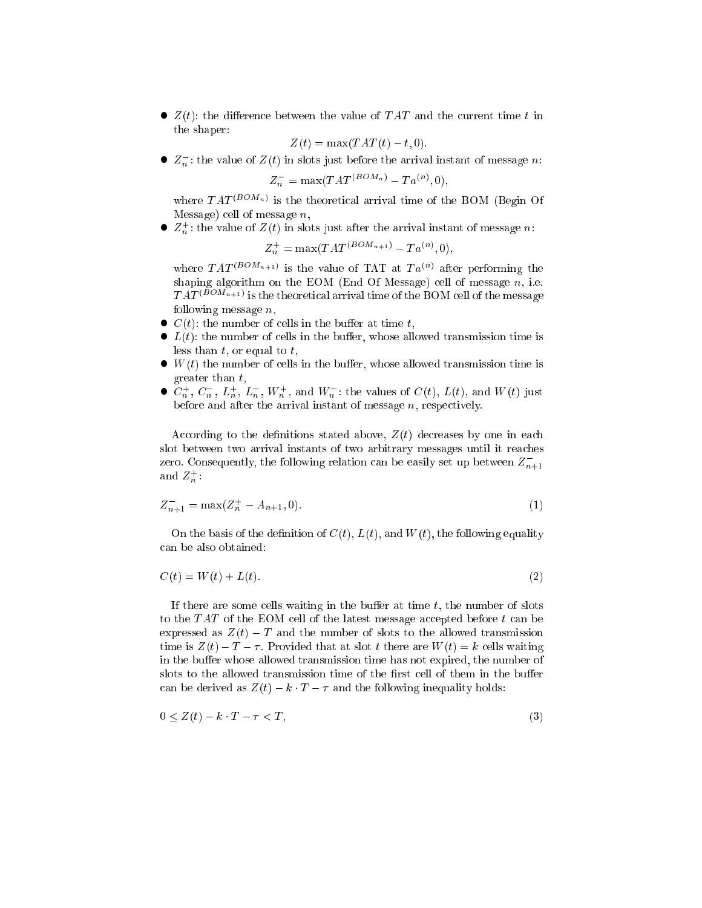$\bullet$   $Z(t)$ : the difference between the value of TAT and the current time t in the shaper:

$$
Z(t) = \max(TAT(t) - t, 0).
$$

 $\bullet$   $Z_n^-$ : the value of  $Z(t)$  in slots just before the arrival instant of message n:

$$
Z_n^- = \max(TAT^{(BOM_n)} - Ta^{(n)}, 0),
$$

where  $TAT^{(BOM_n)}$  is the theoretical arrival time of the BOM (Begin Of Message) cell of message  $n$ ,

 $\bullet$   $Z_n^+$ : the value of  $Z(t)$  in slots just after the arrival instant of message n:

$$
Z_n^+ = \max(TAT^{(BOM_{n+1})} - Ta^{(n)}, 0),
$$

where  $TAT^{(BOM_{n+1})}$  is the value of TAT at  $Ta^{(n)}$  after performing the shaping algorithm on the EOM (End Of Message) cell of message  $n$ , i.e.  $TAT^{(BOM_{n+1})}$  is the theoretical arrival time of the BOM cell of the message following message  $n$ ,

- $\bullet$   $C(t)$ : the number of cells in the buffer at time t,
- $\bullet$   $L(t)$ : the number of cells in the buffer, whose allowed transmission time is less than  $t$ , or equal to  $t$ ,
- $\bullet$  W(t) the number of cells in the buffer, whose allowed transmission time is greater than t,
- $\bullet$   $C_n^+$ ,  $C_n^-$ ,  $L_n^+$ ,  $L_n^-$ ,  $W_n^+$ , and  $W_n^-$ : the values of  $C(t)$ ,  $L(t)$ , and  $W(t)$  just before and after the arrival instant of message  $n$ , respectively.

According to the definitions stated above,  $Z(t)$  decreases by one in each slot between two arrival instants of two arbitrary messages until it reaches zero. Consequently, the following relation can be easily set up between  $Z_{n+1}^$ and  $Z_n^+$ :

$$
Z_{n+1}^{-} = \max(Z_n^+ - A_{n+1}, 0). \tag{1}
$$

On the basis of the definition of  $C(t)$ ,  $L(t)$ , and  $W(t)$ , the following equality can be also obtained:

$$
C(t) = W(t) + L(t). \tag{2}
$$

If there are some cells waiting in the buffer at time  $t$ , the number of slots to the  $TAT$  of the EOM cell of the latest message accepted before  $t$  can be expressed as  $Z(t) - T$  and the number of slots to the allowed transmission time is  $Z(t) - T - \tau$ . Provided that at slot t there are  $W(t) = k$  cells waiting in the buffer whose allowed transmission time has not expired, the number of slots to the allowed transmission time of the first cell of them in the buffer can be derived as  $Z(t) - k \cdot T - \tau$  and the following inequality holds:

$$
0 \le Z(t) - k \cdot T - \tau < T,\tag{3}
$$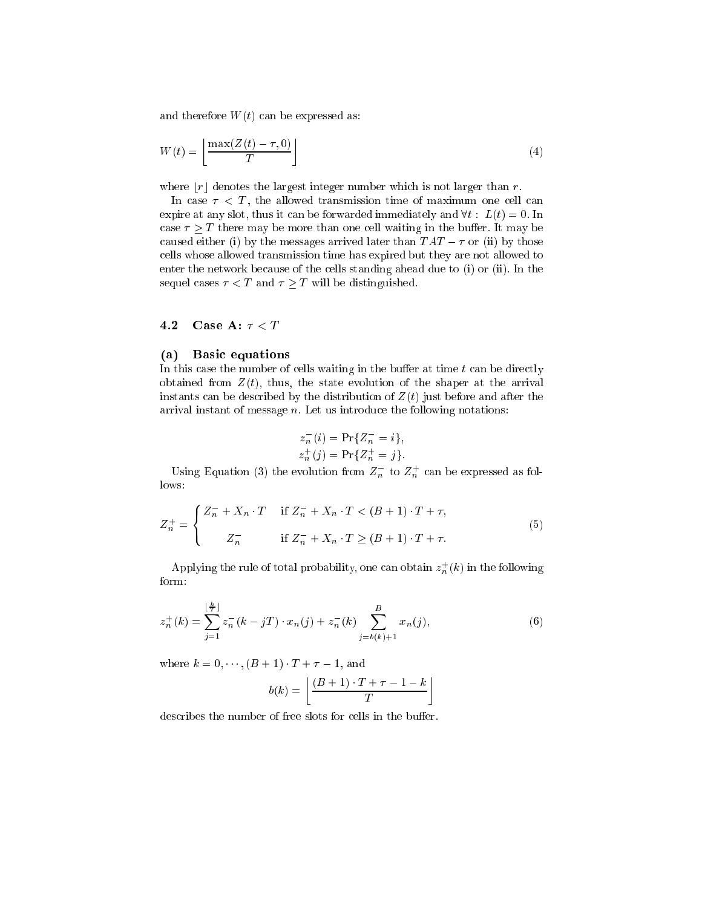and therefore  $W(t)$  can be expressed as:

$$
W(t) = \left\lfloor \frac{\max(Z(t) - \tau, 0)}{T} \right\rfloor \tag{4}
$$

where  $|r|$  denotes the largest integer number which is not larger than r.

In case  $\tau$  < T, the allowed transmission time of maximum one cell can expire at any slot, thus it can be forwarded immediately and  $\forall t : L(t) = 0$ . In case  $\tau > T$  there may be more than one cell waiting in the buffer. It may be caused either (i) by the messages arrived later than  $TAT - \tau$  or (ii) by those cells whose allowed transmission time has expired but they are not allowed to enter the network because of the cells standing ahead due to (i) or (ii). In the sequel cases  $\tau < T$  and  $\tau \geq T$  will be distinguished.

# 4.2 Case A:  $\tau < T$

#### (a) Basic equations

In this case the number of cells waiting in the buffer at time  $t$  can be directly obtained from  $Z(t)$ , thus, the state evolution of the shaper at the arrival instants can be described by the distribution of  $Z(t)$  just before and after the arrival instant of message  $n$ . Let us introduce the following notations:

$$
z_n^-(i) = \Pr\{Z_n^- = i\},
$$
  

$$
z_n^+(j) = \Pr\{Z_n^+ = j\}.
$$

Using Equation (3) the evolution from  $Z_n^-$  to  $Z_n^+$  can be expressed as follows:

$$
Z_n^+ = \begin{cases} Z_n^- + X_n \cdot T & \text{if } Z_n^- + X_n \cdot T < (B+1) \cdot T + \tau, \\ Z_n^- & \text{if } Z_n^- + X_n \cdot T \ge (B+1) \cdot T + \tau. \end{cases} \tag{5}
$$

Applying the rule of total probability, one can obtain  $z_n^{+}(k)$  in the following form:

$$
z_n^+(k) = \sum_{j=1}^{\lfloor \frac{k}{T} \rfloor} z_n^-(k - jT) \cdot x_n(j) + z_n^-(k) \sum_{j=b(k)+1}^B x_n(j), \tag{6}
$$

where  $k = 0, \dots, (B + 1) \cdot T + \tau - 1$ , and

$$
b(k) = \left\lfloor \frac{(B+1) \cdot T + \tau - 1 - k}{T} \right\rfloor
$$

describes the number of free slots for cells in the buffer.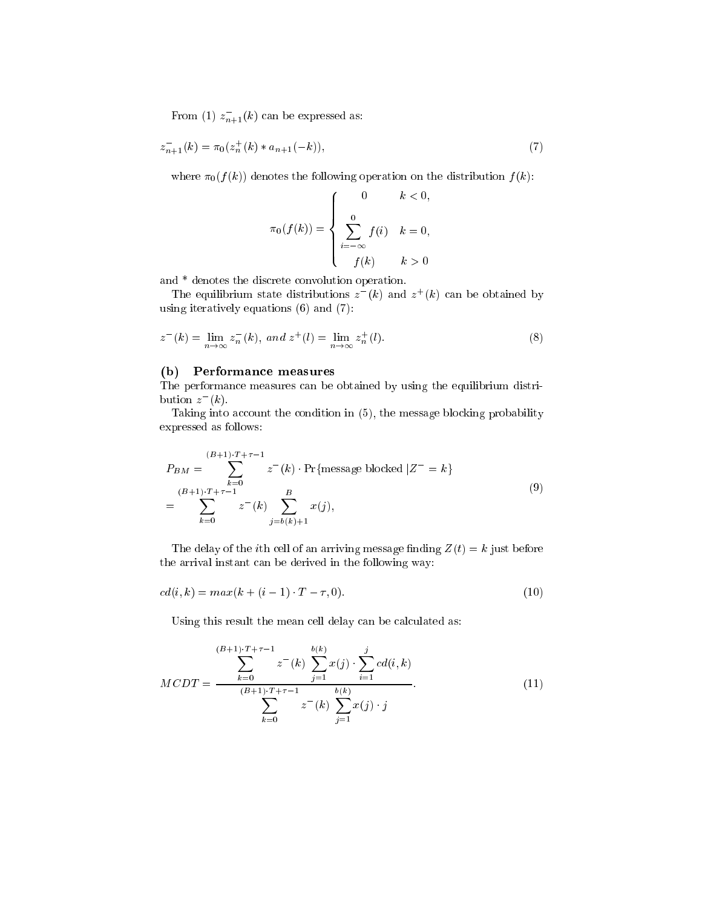From (1)  $z_{n+1}^{-}(k)$  can be expressed as:

$$
z_{n+1}^{-}(k) = \pi_0(z_n^{+}(k) * a_{n+1}(-k)),
$$
\n(7)

where  $\pi_0(f(k))$  denotes the following operation on the distribution  $f(k)$ :

$$
\pi_0(f(k)) = \begin{cases} 0 & k < 0, \\ \sum_{i=-\infty}^{0} f(i) & k = 0, \\ f(k) & k > 0 \end{cases}
$$

and \* denotes the discrete convolution operation.

The equilibrium state distributions  $z^-(k)$  and  $z^+(k)$  can be obtained by using iteratively equations (6) and (7):

$$
z^{-}(k) = \lim_{n \to \infty} z_n^{-}(k), \text{ and } z^{+}(l) = \lim_{n \to \infty} z_n^{+}(l). \tag{8}
$$

# (b) Performance measures

The performance measures can be obtained by using the equilibrium distribution  $z^-(k)$ .

Taking into account the condition in (5), the message blocking probability expressed as follows:

$$
P_{BM} = \sum_{k=0}^{(B+1)\cdot T + \tau - 1} z^{-}(k) \cdot \Pr{\text{message blocked } | Z^{-} = k}
$$
  
= 
$$
\sum_{k=0}^{(B+1)\cdot T + \tau - 1} z^{-}(k) \sum_{j=b(k)+1}^{B} x(j),
$$
 (9)

The delay of the *i*th cell of an arriving message finding  $Z(t) = k$  just before the arrival instant can be derived in the following way:

$$
cd(i,k) = max(k + (i - 1) \cdot T - \tau, 0).
$$
\n(10)

Using this result the mean cell delay can be calculated as:

$$
MCDT = \frac{\sum_{k=0}^{(B+1)\cdot T + \tau - 1} z^{-}(k) \sum_{j=1}^{b(k)} x(j) \cdot \sum_{i=1}^{j} cd(i,k)}{\sum_{k=0}^{(B+1)\cdot T + \tau - 1} z^{-}(k) \sum_{j=1}^{b(k)} x(j) \cdot j}.
$$
\n(11)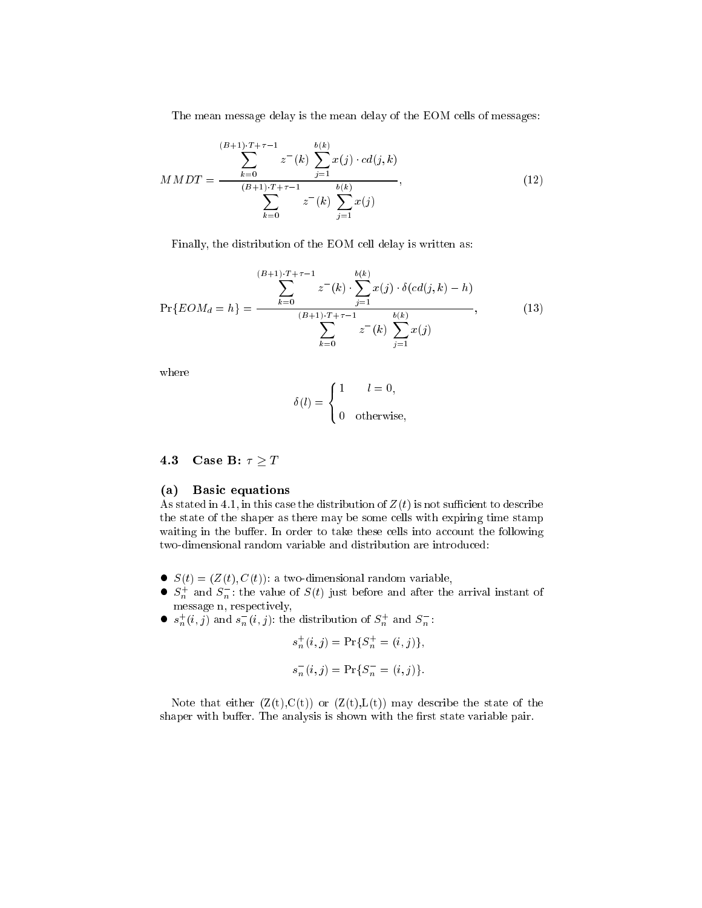The mean message delay is the mean delay of the EOM cells of messages:

$$
MMDT = \frac{\sum_{k=0}^{(B+1)\cdot T + \tau - 1} z^{-}(k) \sum_{j=1}^{b(k)} x(j) \cdot cd(j, k)}{\sum_{k=0}^{(B+1)\cdot T + \tau - 1} z^{-}(k) \sum_{j=1}^{b(k)} x(j)},
$$
\n(12)

Finally, the distribution of the EOM cell delay is written as:

$$
\Pr\{EOM_d = h\} = \frac{\sum_{k=0}^{(B+1)\cdot T + \tau - 1} z^{-}(k) \cdot \sum_{j=1}^{b(k)} x(j) \cdot \delta(cd(j, k) - h)}{\sum_{k=0}^{(B+1)\cdot T + \tau - 1} z^{-}(k) \sum_{j=1}^{b(k)} x(j)},
$$
(13)

where

$$
\delta(l) = \begin{cases} 1 & l = 0, \\ 0 & \text{otherwise,} \end{cases}
$$

4.3 Case B:  $\tau \geq T$ 

### (a) Basic equations

As stated in 4.1, in this case the distribution of  $Z(t)$  is not sufficient to describe the state of the shaper as there may be some cells with expiring time stamp waiting in the buffer. In order to take these cells into account the following two-dimensional random variable and distribution are introduced:

- $S(t) = (Z(t), C(t))$ : a two-dimensional random variable,
- $S_n^+$  and  $S_n^-$ : the value of  $S(t)$  just before and after the arrival instant of message n, respectively,
- $s_n^+(i,j)$  and  $s_n^-(i,j)$ : the distribution of  $S_n^+$  and  $S_n^-$ .

$$
s_n^+(i,j) = \Pr\{S_n^+ = (i,j)\},
$$
  

$$
s_n^-(i,j) = \Pr\{S_n^- = (i,j)\}.
$$

Note that either  $(Z(t),C(t))$  or  $(Z(t),L(t))$  may describe the state of the shaper with buffer. The analysis is shown with the first state variable pair.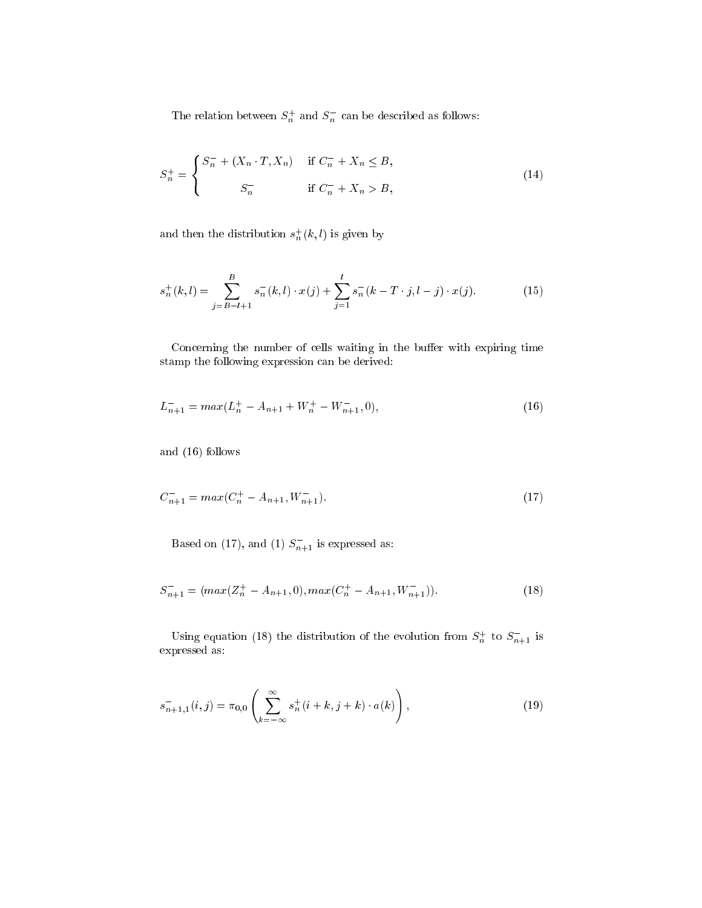The relation between  $S_n^+$  and  $S_n^-$  can be described as follows:

$$
S_n^+ = \begin{cases} S_n^- + (X_n \cdot T, X_n) & \text{if } C_n^- + X_n \le B, \\ S_n^- & \text{if } C_n^- + X_n > B, \end{cases}
$$
 (14)

and then the distribution  $s_n^+(k,l)$  is given by

$$
s_n^+(k,l) = \sum_{j=B-l+1}^{B} s_n^-(k,l) \cdot x(j) + \sum_{j=1}^{l} s_n^-(k-T \cdot j, l-j) \cdot x(j). \tag{15}
$$

Concerning the number of cells waiting in the buffer with expiring time stamp the following expression can be derived:

$$
L_{n+1}^- = \max(L_n^+ - A_{n+1} + W_n^+ - W_{n+1}^-, 0),\tag{16}
$$

and (16) follows

$$
C_{n+1}^- = \max(C_n^+ - A_{n+1}, W_{n+1}^-). \tag{17}
$$

Based on (17), and (1)  $S_{n+1}^-$  is expressed as:

$$
S_{n+1}^- = (max(Z_n^+ - A_{n+1}, 0), max(C_n^+ - A_{n+1}, W_{n+1}^-)).
$$
\n(18)

Using equation (18) the distribution of the evolution from  $S_n^+$  to  $S_{n+1}^-$  is expressed as:

$$
s_{n+1,1}^{-}(i,j) = \pi_{0,0} \left( \sum_{k=-\infty}^{\infty} s_n^{+}(i+k, j+k) \cdot a(k) \right), \qquad (19)
$$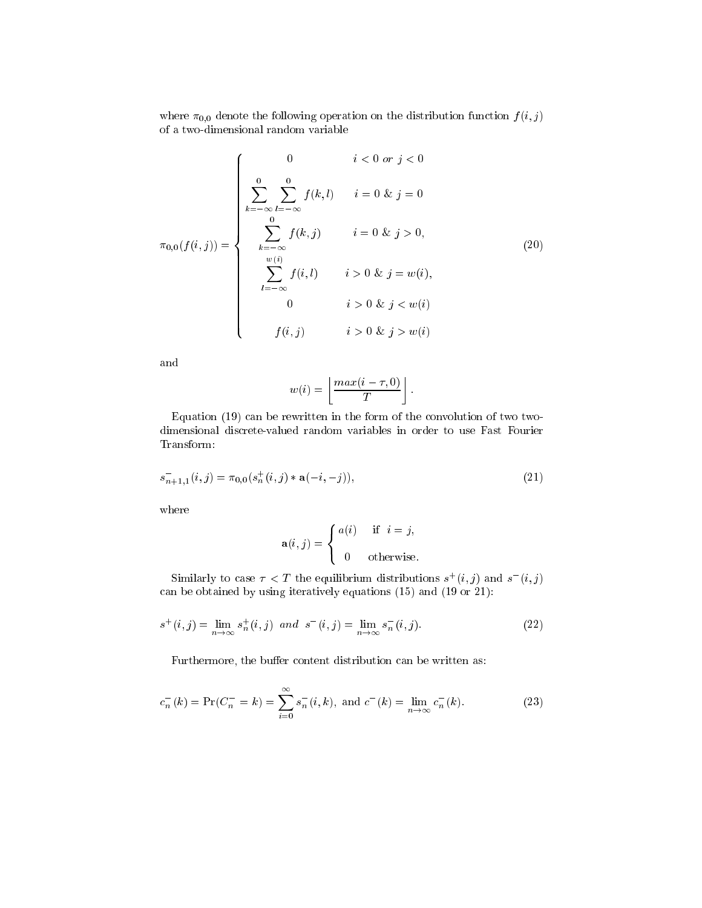where  $\pi_{0,0}$  denote the following operation on the distribution function  $f (i, j)$ of a two-dimensional random variable

$$
\pi_{0,0}(f(i,j)) = \begin{cases}\n0 & i < 0 \text{ or } j < 0 \\
\sum_{k=-\infty}^{0} \sum_{l=-\infty}^{0} f(k,l) & i = 0 \text{ & } j = 0 \\
\sum_{k=-\infty}^{0} f(k,j) & i = 0 \text{ & } j > 0, \\
\sum_{l=-\infty}^{w(i)} f(i,l) & i > 0 \text{ & } j = w(i), \\
0 & i > 0 \text{ & } j < w(i)\n\end{cases}
$$
\n(20)

and

$$
w(i) = \left\lfloor \frac{max(i - \tau, 0)}{T} \right\rfloor.
$$

Equation (19) can be rewritten in the form of the convolution of two twodimensional discrete-valued random variables in order to use Fast Fourier Transform:

$$
s_{n+1,1}^{-}(i,j) = \pi_{0,0}(s_n^{+}(i,j) * \mathbf{a}(-i,-j)),
$$
\n(21)

where

$$
\mathbf{a}(i,j) = \begin{cases} a(i) & \text{if } i = j, \\ 0 & \text{otherwise.} \end{cases}
$$

Similarly to case  $\tau < T$  the equilibrium distributions  $s^+(i,j)$  and  $s^-(i,j)$ can be obtained by using iteratively equations (15) and (19 or 21):

$$
s^{+}(i,j) = \lim_{n \to \infty} s_{n}^{+}(i,j) \ \ and \ \ s^{-}(i,j) = \lim_{n \to \infty} s_{n}^{-}(i,j). \tag{22}
$$

Furthermore, the buffer content distribution can be written as:

$$
c_n^{-}(k) = \Pr(C_n^{-} = k) = \sum_{i=0}^{\infty} s_n^{-}(i, k), \text{ and } c^{-}(k) = \lim_{n \to \infty} c_n^{-}(k). \tag{23}
$$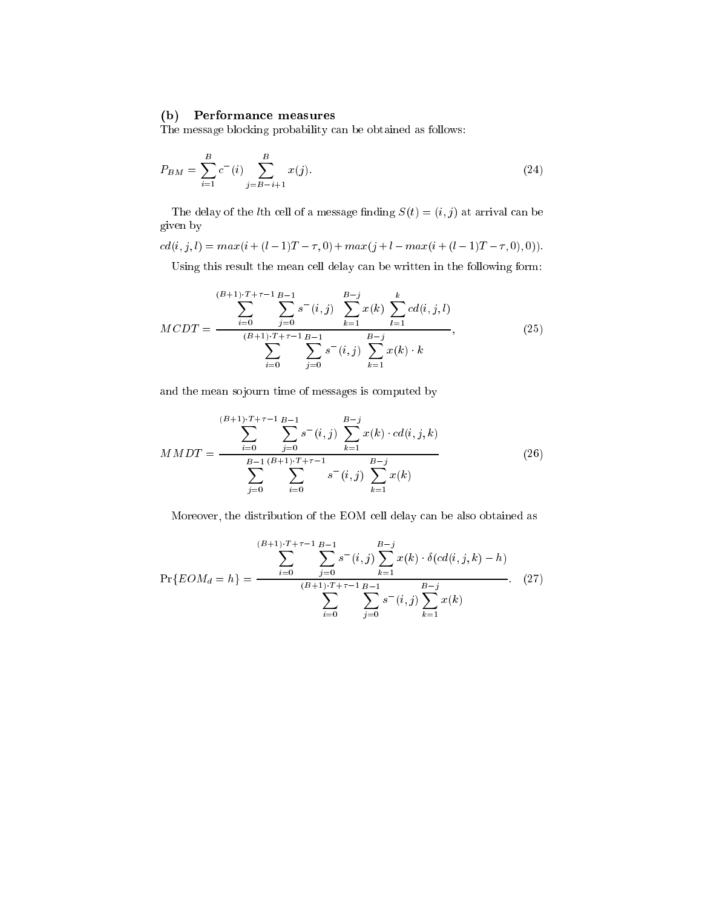# (b) Performance measures

The message blocking probability can be obtained as follows:

$$
P_{BM} = \sum_{i=1}^{B} c^{-i} \sum_{j=B-i+1}^{B} x(j).
$$
 (24)

The delay of the *l*th cell of a message finding  $S(t) = (i, j)$  at arrival can be given by

 $cd(i,j,l) = max(i + (l - 1)T - \tau, 0) + max(j + l - max(i + (l - 1)T - \tau, 0), 0)).$ 

Using this result the mean cell delay can be written in the following form:

$$
MCDT = \frac{\sum_{i=0}^{(B+1)\cdot T+\tau-1} \sum_{j=0}^{B-1} s^-(i,j)}{\sum_{i=0}^{(B+1)\cdot T+\tau-1} \sum_{j=0}^{B-1} s^-(i,j)} \sum_{k=1}^{B-j} x(k) \cdot k
$$
\n
$$
(25)
$$

and the mean sojourn time of messages is computed by

$$
MMDT = \frac{\sum_{i=0}^{(B+1)\cdot T+\tau-1} \sum_{j=0}^{B-1} s^-(i,j) \sum_{k=1}^{B-j} x(k) \cdot cd(i,j,k)}{\sum_{j=0}^{B-1} \sum_{i=0}^{(B+1)\cdot T+\tau-1} s^-(i,j) \sum_{k=1}^{B-j} x(k)}
$$
(26)

Moreover, the distribution of the EOM cell delay can be also obtained as

$$
\Pr\{EOM_d = h\} = \frac{\sum_{i=0}^{(B+1)\cdot T + \tau - 1} \sum_{j=0}^{B-1} s^-(i,j) \sum_{k=1}^{B-j} x(k) \cdot \delta(cd(i,j,k) - h)}{\sum_{i=0}^{(B+1)\cdot T + \tau - 1} \sum_{j=0}^{B-1} s^-(i,j) \sum_{k=1}^{B-j} x(k)}.
$$
 (27)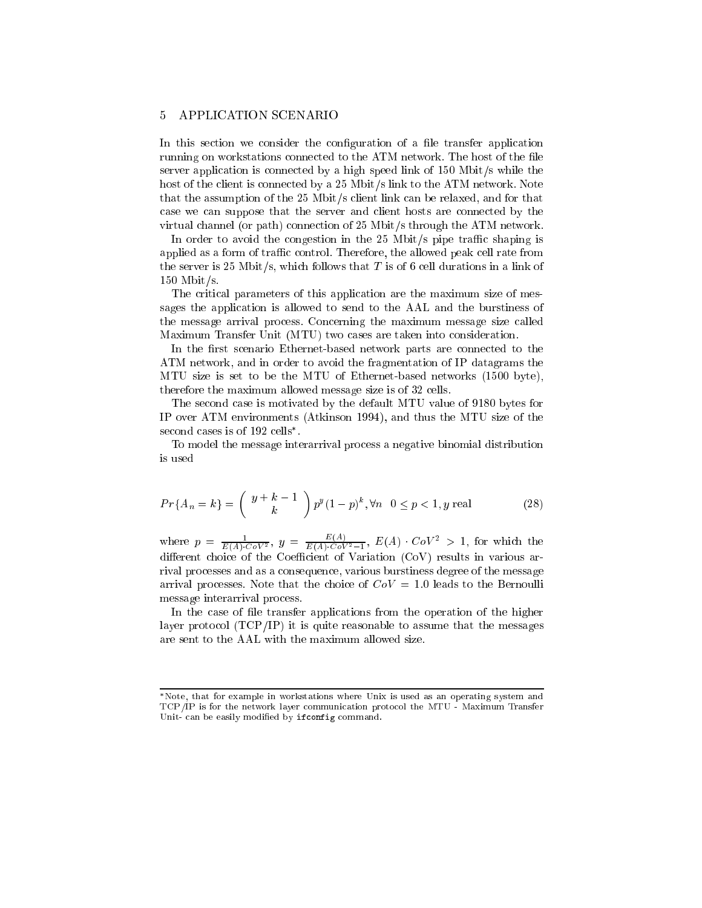#### 5 APPLICATION SCENARIO

In this section we consider the configuration of a file transfer application running on workstations connected to the ATM network. The host of the le server application is connected by a high speed link of 150 Mbit/s while the host of the client is connected by a 25 Mbit/s link to the ATM network. Note that the assumption of the 25 Mbit/s client link can be relaxed, and for that case we can suppose that the server and client hosts are connected by the virtual channel (or path) connection of 25 Mbit/s through the ATM network.

In order to avoid the congestion in the  $25$  Mbit/s pipe traffic shaping is applied as a form of traffic control. Therefore, the allowed peak cell rate from the server is 25 Mbit/s, which follows that  $T$  is of 6 cell durations in a link of 150 Mbit/s.

The critical parameters of this application are the maximum size of messages the application is allowed to send to the AAL and the burstiness of the message arrival process. Concerning the maximum message size called Maximum Transfer Unit (MTU) two cases are taken into consideration.

In the first scenario Ethernet-based network parts are connected to the ATM network, and in order to avoid the fragmentation of IP datagrams the MTU size is set to be the MTU of Ethernet-based networks (1500 byte), therefore the maximum allowed message size is of 32 cells.

The second case is motivated by the default MTU value of 9180 bytes for IP over ATM environments (Atkinson 1994), and thus the MTU size of the second cases is of 192 cells .

To model the message interarrival process a negative binomial distribution is used

$$
Pr{A_n = k} = {y + k - 1 \choose k} p^y (1-p)^k, \forall n \ 0 \le p < 1, y \text{ real}
$$
 (28)

where  $p = \frac{1}{E(A) \cdot CoV^2}$ ,  $y = \frac{E(A)}{E(A) \cdot CoV^2 - 1}$ ,  $E(A) \cdot CoV^2 > 1$ , for which the dierent choice of the Coecient of Variation (CoV) results in various arrival processes and as a consequence, various burstiness degree of the message arrival processes. Note that the choice of  $CoV = 1.0$  leads to the Bernoulli message interarrival process.

In the case of file transfer applications from the operation of the higher layer protocol  $(TCP/IP)$  it is quite reasonable to assume that the messages are sent to the AAL with the maximum allowed size.

Note, that for example in workstations where Unix is used as an operating system and TCP/IP is for the network layer communication protocol the MTU - Maximum Transfer Unit- can be easily modied by ifconfig command.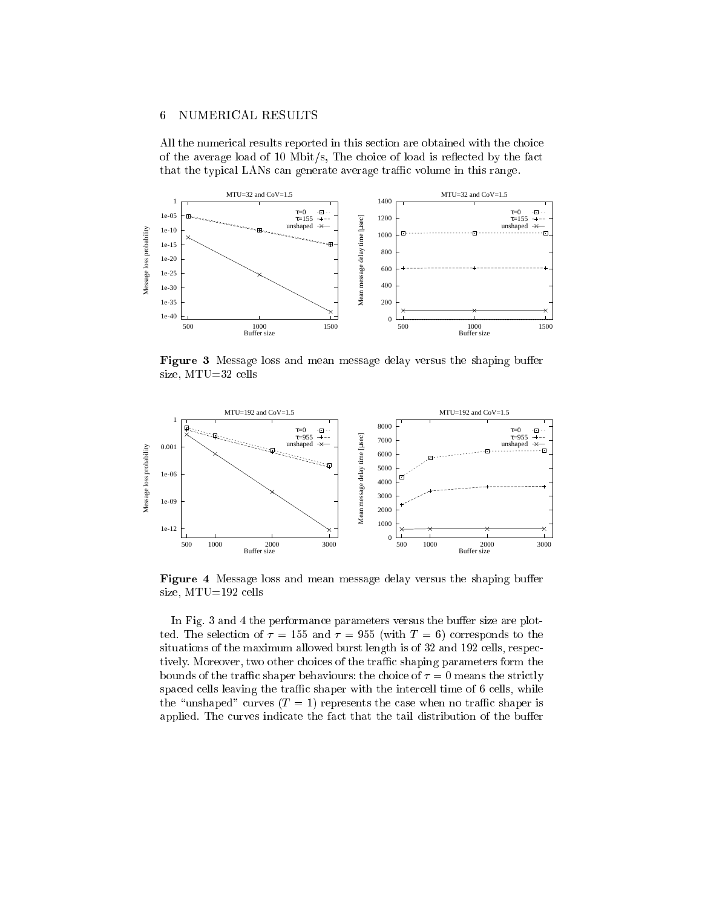#### 6 NUMERICAL RESULTS

All the numerical results reported in this section are obtained with the choice of the average load of 10 Mbit/s, The choice of load is reflected by the fact that the typical LANs can generate average traffic volume in this range.



Figure 3 Message loss and mean message delay versus the shaping buffer size, MTU=32 cells



Figure 4 Message loss and mean message delay versus the shaping buffer size, MTU=192 cells

In Fig. 3 and 4 the performance parameters versus the buffer size are plotted. The selection of  $\tau = 155$  and  $\tau = 955$  (with  $T = 6$ ) corresponds to the situations of the maximum allowed burst length is of 32 and 192 cells, respectively. Moreover, two other choices of the traffic shaping parameters form the bounds of the traffic shaper behaviours: the choice of  $\tau = 0$  means the strictly spaced cells leaving the traffic shaper with the intercell time of 6 cells, while the "unshaped" curves  $(T = 1)$  represents the case when no traffic shaper is applied. The curves indicate the fact that the tail distribution of the buffer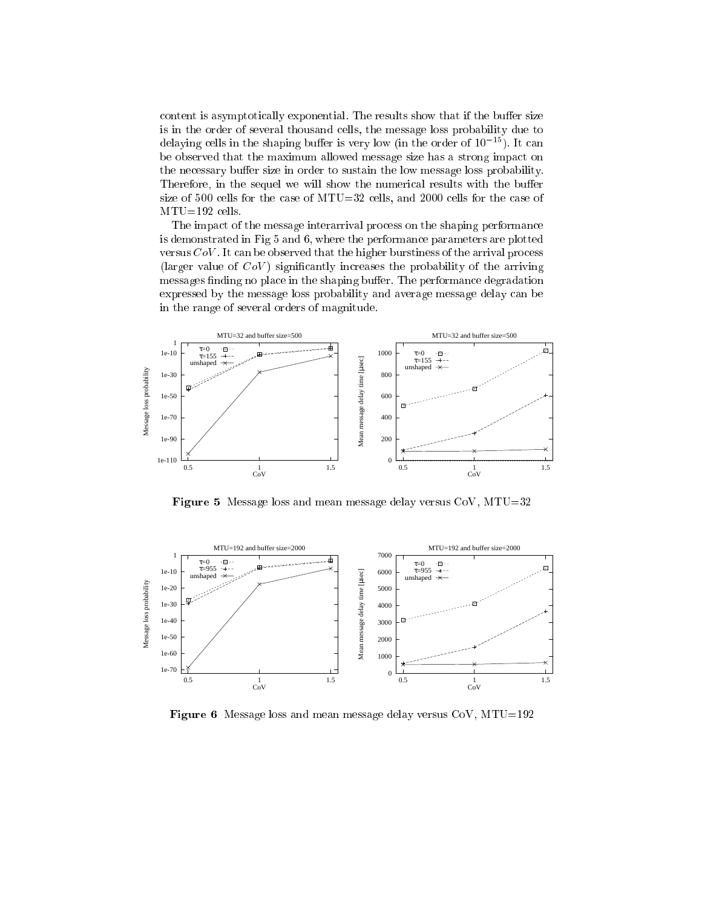content is asymptotically exponential. The results show that if the buffer size is in the order of several thousand cells, the message loss probability due to delaying cells in the shaping buffer is very low (in the order of  $10^{-15}$ ). It can be observed that the maximum allowed message size has a strong impact on the necessary buffer size in order to sustain the low message loss probability. Therefore, in the sequel we will show the numerical results with the buffer size of 500 cells for the case of MTU=32 cells, and 2000 cells for the case of MTU=192 cells.

The impact of the message interarrival process on the shaping performance is demonstrated in Fig 5 and 6, where the performance parameters are plotted versus  $CoV$ . It can be observed that the higher burstiness of the arrival process (larger value of  $CoV$ ) significantly increases the probability of the arriving messages finding no place in the shaping buffer. The performance degradation expressed by the message loss probability and average message delay can be in the range of several orders of magnitude.



**Figure 5** Message loss and mean message delay versus  $CoV$ ,  $MTU=32$ 



**Figure 6** Message loss and mean message delay versus  $CoV$ ,  $MTU=192$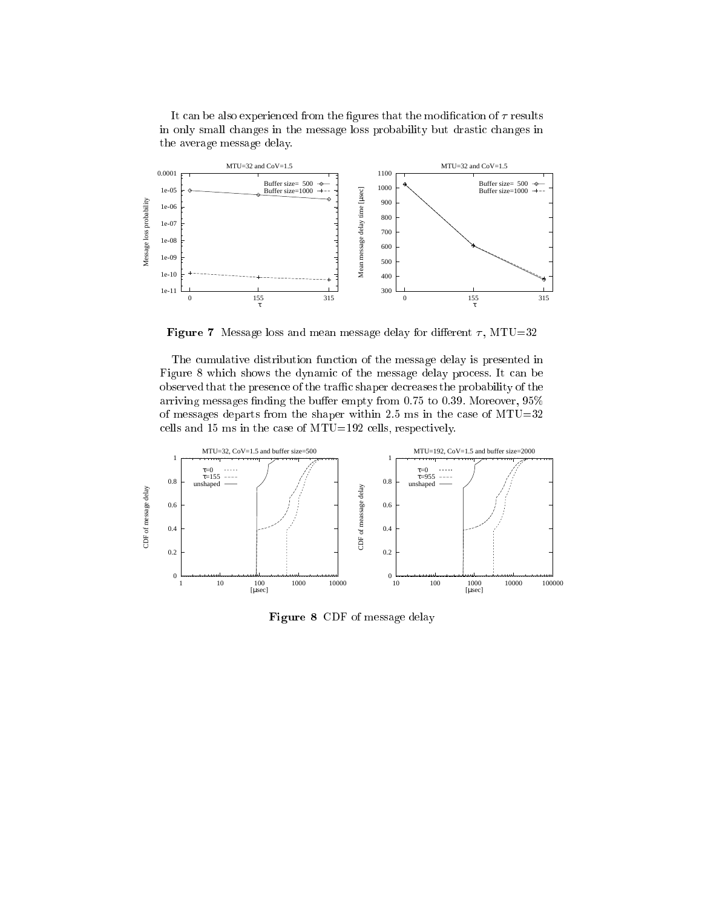It can be also experienced from the figures that the modification of  $\tau$  results in only small changes in the message loss probability but drastic changes in the average message delay.



Figure 7 Message loss and mean message delay for different  $\tau$ , MTU=32

The cumulative distribution function of the message delay is presented in Figure 8 which shows the dynamic of the message delay process. It can be observed that the presence of the traffic shaper decreases the probability of the arriving messages finding the buffer empty from 0.75 to 0.39. Moreover,  $95\%$ of messages departs from the shaper within 2.5 ms in the case of  $MTU=32$ cells and 15 ms in the case of MTU=192 cells, respectively.



Figure 8 CDF of message delay